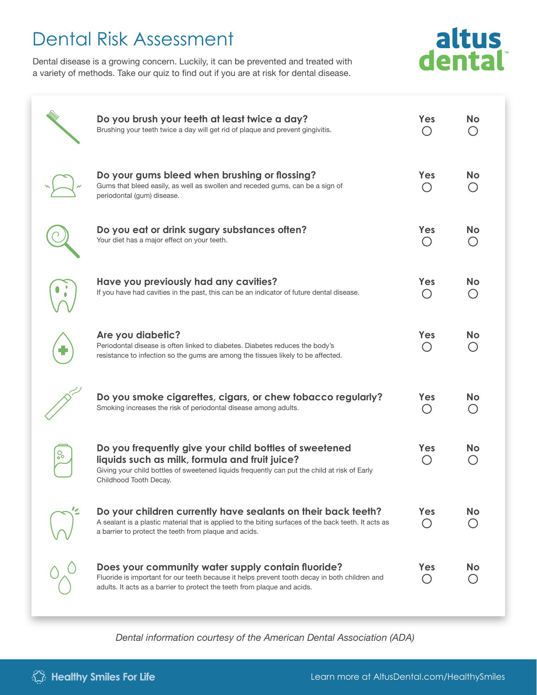# Dental Risk Assessment

Dental disease is a growing concern. Luckily, it can be prevented and treated with a variety of methods. Take our quiz to find out if you are at risk for dental disease.



|                  | Do you brush your teeth at least twice a day?<br>Brushing your teeth twice a day will get rid of plaque and prevent gingivitis.                                                                                                    | Yes<br>( )                                           | No        |
|------------------|------------------------------------------------------------------------------------------------------------------------------------------------------------------------------------------------------------------------------------|------------------------------------------------------|-----------|
|                  | Do your gums bleed when brushing or flossing?<br>Gums that bleed easily, as well as swollen and receded gums, can be a sign of<br>periodontal (gum) disease.                                                                       | Yes                                                  | No        |
|                  | Do you eat or drink sugary substances often?<br>Your diet has a major effect on your teeth.                                                                                                                                        | Yes<br>( )                                           | No        |
|                  | Have you previously had any cavities?<br>If you have had cavities in the past, this can be an indicator of future dental disease.                                                                                                  | Yes                                                  | <b>No</b> |
|                  | Are you diabetic?<br>Periodontal disease is often linked to diabetes. Diabetes reduces the body's<br>resistance to infection so the gums are among the tissues likely to be affected.                                              | Yes<br>( )                                           | <b>No</b> |
|                  | Do you smoke cigarettes, cigars, or chew tobacco regularly?<br>Smoking increases the risk of periodontal disease among adults.                                                                                                     | Yes                                                  | <b>No</b> |
| $\rm{O}^{\circ}$ | Do you frequently give your child bottles of sweetened<br>liquids such as milk, formula and fruit juice?<br>Giving your child bottles of sweetened liquids frequently can put the child at risk of Early<br>Childhood Tooth Decay. | Yes<br>( )                                           | No        |
|                  | Do your children currently have sealants on their back teeth?<br>A sealant is a plastic material that is applied to the biting surfaces of the back teeth. It acts as<br>a barrier to protect the teeth from plaque and acids.     | Yes<br>$\left( \begin{array}{c} \end{array} \right)$ | No        |
|                  | Does your community water supply contain fluoride?<br>Fluoride is important for our teeth because it helps prevent tooth decay in both children and<br>adults. It acts as a barrier to protect the teeth from plaque and acids.    | Yes                                                  | No        |

*Dental information courtesy of the American Dental Association (ADA)*